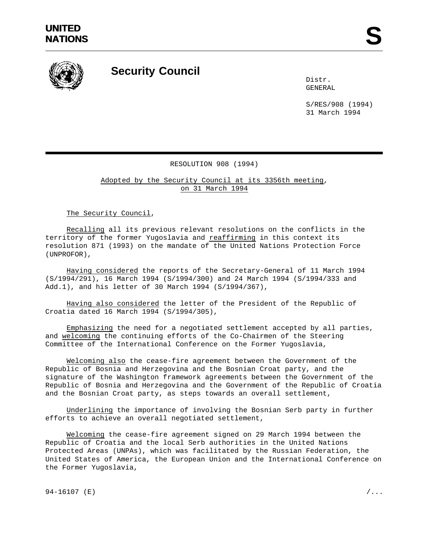

## **Security Council**

Distr. GENERAL

S/RES/908 (1994) 31 March 1994

## RESOLUTION 908 (1994)

Adopted by the Security Council at its 3356th meeting, on 31 March 1994

The Security Council,

Recalling all its previous relevant resolutions on the conflicts in the territory of the former Yugoslavia and reaffirming in this context its resolution 871 (1993) on the mandate of the United Nations Protection Force (UNPROFOR),

Having considered the reports of the Secretary-General of 11 March 1994 (S/1994/291), 16 March 1994 (S/1994/300) and 24 March 1994 (S/1994/333 and Add.1), and his letter of 30 March 1994 (S/1994/367),

Having also considered the letter of the President of the Republic of Croatia dated 16 March 1994 (S/1994/305),

Emphasizing the need for a negotiated settlement accepted by all parties, and welcoming the continuing efforts of the Co-Chairmen of the Steering Committee of the International Conference on the Former Yugoslavia,

Welcoming also the cease-fire agreement between the Government of the Republic of Bosnia and Herzegovina and the Bosnian Croat party, and the signature of the Washington framework agreements between the Government of the Republic of Bosnia and Herzegovina and the Government of the Republic of Croatia and the Bosnian Croat party, as steps towards an overall settlement,

Underlining the importance of involving the Bosnian Serb party in further efforts to achieve an overall negotiated settlement,

Welcoming the cease-fire agreement signed on 29 March 1994 between the Republic of Croatia and the local Serb authorities in the United Nations Protected Areas (UNPAs), which was facilitated by the Russian Federation, the United States of America, the European Union and the International Conference on the Former Yugoslavia,

 $94-16107$  (E)  $/$ ...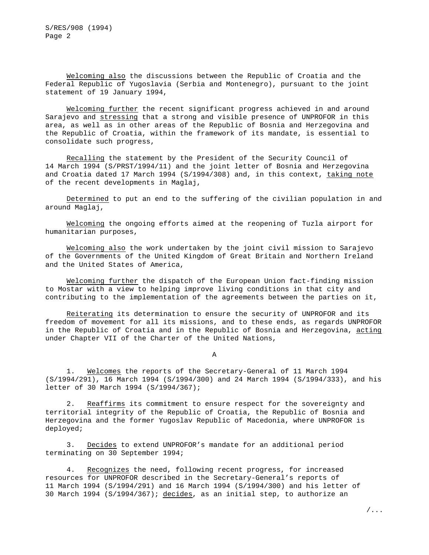Welcoming also the discussions between the Republic of Croatia and the Federal Republic of Yugoslavia (Serbia and Montenegro), pursuant to the joint statement of 19 January 1994,

Welcoming further the recent significant progress achieved in and around Sarajevo and stressing that a strong and visible presence of UNPROFOR in this area, as well as in other areas of the Republic of Bosnia and Herzegovina and the Republic of Croatia, within the framework of its mandate, is essential to consolidate such progress,

Recalling the statement by the President of the Security Council of 14 March 1994 (S/PRST/1994/11) and the joint letter of Bosnia and Herzegovina and Croatia dated 17 March 1994 (S/1994/308) and, in this context, taking note of the recent developments in Maglaj,

Determined to put an end to the suffering of the civilian population in and around Maglaj,

Welcoming the ongoing efforts aimed at the reopening of Tuzla airport for humanitarian purposes,

Welcoming also the work undertaken by the joint civil mission to Sarajevo of the Governments of the United Kingdom of Great Britain and Northern Ireland and the United States of America,

Welcoming further the dispatch of the European Union fact-finding mission to Mostar with a view to helping improve living conditions in that city and contributing to the implementation of the agreements between the parties on it,

Reiterating its determination to ensure the security of UNPROFOR and its freedom of movement for all its missions, and to these ends, as regards UNPROFOR in the Republic of Croatia and in the Republic of Bosnia and Herzegovina, acting under Chapter VII of the Charter of the United Nations,

A

1. Welcomes the reports of the Secretary-General of 11 March 1994 (S/1994/291), 16 March 1994 (S/1994/300) and 24 March 1994 (S/1994/333), and his letter of 30 March 1994 (S/1994/367);

2. Reaffirms its commitment to ensure respect for the sovereignty and territorial integrity of the Republic of Croatia, the Republic of Bosnia and Herzegovina and the former Yugoslav Republic of Macedonia, where UNPROFOR is deployed;

3. Decides to extend UNPROFOR's mandate for an additional period terminating on 30 September 1994;

4. Recognizes the need, following recent progress, for increased resources for UNPROFOR described in the Secretary-General's reports of 11 March 1994 (S/1994/291) and 16 March 1994 (S/1994/300) and his letter of 30 March 1994 (S/1994/367); decides, as an initial step, to authorize an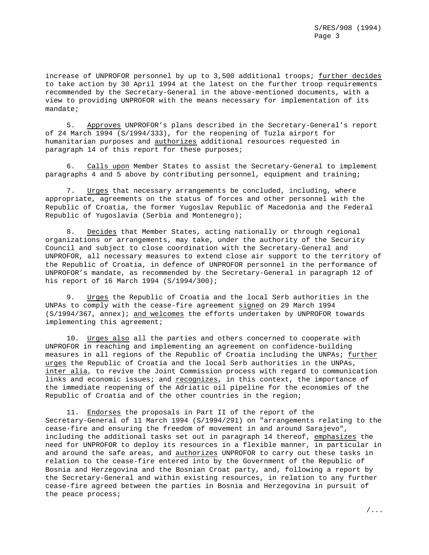increase of UNPROFOR personnel by up to 3,500 additional troops; further decides to take action by 30 April 1994 at the latest on the further troop requirements recommended by the Secretary-General in the above-mentioned documents, with a view to providing UNPROFOR with the means necessary for implementation of its mandate;

5. Approves UNPROFOR's plans described in the Secretary-General's report of 24 March 1994 (S/1994/333), for the reopening of Tuzla airport for humanitarian purposes and authorizes additional resources requested in paragraph 14 of this report for these purposes;

6. Calls upon Member States to assist the Secretary-General to implement paragraphs 4 and 5 above by contributing personnel, equipment and training;

7. Urges that necessary arrangements be concluded, including, where appropriate, agreements on the status of forces and other personnel with the Republic of Croatia, the former Yugoslav Republic of Macedonia and the Federal Republic of Yugoslavia (Serbia and Montenegro);

8. Decides that Member States, acting nationally or through regional organizations or arrangements, may take, under the authority of the Security Council and subject to close coordination with the Secretary-General and UNPROFOR, all necessary measures to extend close air support to the territory of the Republic of Croatia, in defence of UNPROFOR personnel in the performance of UNPROFOR's mandate, as recommended by the Secretary-General in paragraph 12 of his report of 16 March 1994 (S/1994/300);

9. Urges the Republic of Croatia and the local Serb authorities in the UNPAs to comply with the cease-fire agreement signed on 29 March 1994 (S/1994/367, annex); and welcomes the efforts undertaken by UNPROFOR towards implementing this agreement;

10. Urges also all the parties and others concerned to cooperate with UNPROFOR in reaching and implementing an agreement on confidence-building measures in all regions of the Republic of Croatia including the UNPAs; further urges the Republic of Croatia and the local Serb authorities in the UNPAs, inter alia, to revive the Joint Commission process with regard to communication links and economic issues; and recognizes, in this context, the importance of the immediate reopening of the Adriatic oil pipeline for the economies of the Republic of Croatia and of the other countries in the region;

11. Endorses the proposals in Part II of the report of the Secretary-General of 11 March 1994 (S/1994/291) on "arrangements relating to the cease-fire and ensuring the freedom of movement in and around Sarajevo", including the additional tasks set out in paragraph 14 thereof, emphasizes the need for UNPROFOR to deploy its resources in a flexible manner, in particular in and around the safe areas, and authorizes UNPROFOR to carry out these tasks in relation to the cease-fire entered into by the Government of the Republic of Bosnia and Herzegovina and the Bosnian Croat party, and, following a report by the Secretary-General and within existing resources, in relation to any further cease-fire agreed between the parties in Bosnia and Herzegovina in pursuit of the peace process;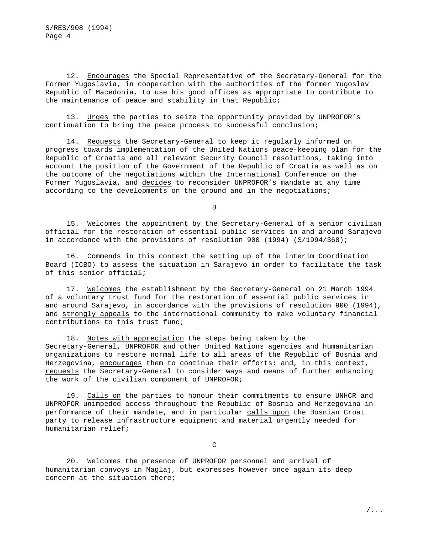12. Encourages the Special Representative of the Secretary-General for the Former Yugoslavia, in cooperation with the authorities of the former Yugoslav Republic of Macedonia, to use his good offices as appropriate to contribute to the maintenance of peace and stability in that Republic;

13. Urges the parties to seize the opportunity provided by UNPROFOR's continuation to bring the peace process to successful conclusion;

14. Requests the Secretary-General to keep it regularly informed on progress towards implementation of the United Nations peace-keeping plan for the Republic of Croatia and all relevant Security Council resolutions, taking into account the position of the Government of the Republic of Croatia as well as on the outcome of the negotiations within the International Conference on the Former Yugoslavia, and decides to reconsider UNPROFOR's mandate at any time according to the developments on the ground and in the negotiations;

B

15. Welcomes the appointment by the Secretary-General of a senior civilian official for the restoration of essential public services in and around Sarajevo in accordance with the provisions of resolution 900 (1994) (S/1994/368);

16. Commends in this context the setting up of the Interim Coordination Board (ICBO) to assess the situation in Sarajevo in order to facilitate the task of this senior official;

17. Welcomes the establishment by the Secretary-General on 21 March 1994 of a voluntary trust fund for the restoration of essential public services in and around Sarajevo, in accordance with the provisions of resolution 900 (1994), and strongly appeals to the international community to make voluntary financial contributions to this trust fund;

18. Notes with appreciation the steps being taken by the Secretary-General, UNPROFOR and other United Nations agencies and humanitarian organizations to restore normal life to all areas of the Republic of Bosnia and Herzegovina, encourages them to continue their efforts; and, in this context, requests the Secretary-General to consider ways and means of further enhancing the work of the civilian component of UNPROFOR;

19. Calls on the parties to honour their commitments to ensure UNHCR and UNPROFOR unimpeded access throughout the Republic of Bosnia and Herzegovina in performance of their mandate, and in particular calls upon the Bosnian Croat party to release infrastructure equipment and material urgently needed for humanitarian relief;

C

20. Welcomes the presence of UNPROFOR personnel and arrival of humanitarian convoys in Maglaj, but expresses however once again its deep concern at the situation there;